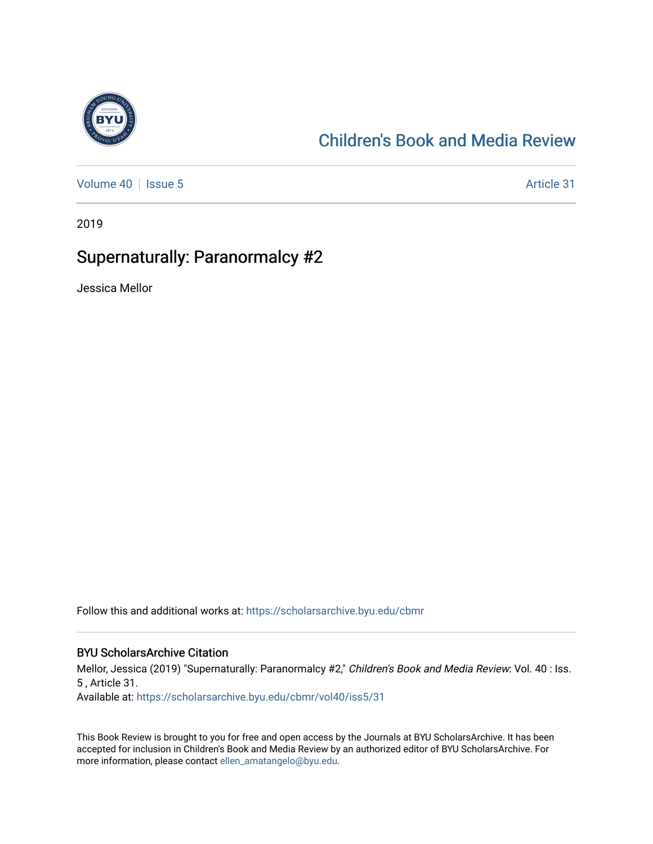

# [Children's Book and Media Review](https://scholarsarchive.byu.edu/cbmr)

[Volume 40](https://scholarsarchive.byu.edu/cbmr/vol40) | [Issue 5](https://scholarsarchive.byu.edu/cbmr/vol40/iss5) Article 31

2019

## Supernaturally: Paranormalcy #2

Jessica Mellor

Follow this and additional works at: [https://scholarsarchive.byu.edu/cbmr](https://scholarsarchive.byu.edu/cbmr?utm_source=scholarsarchive.byu.edu%2Fcbmr%2Fvol40%2Fiss5%2F31&utm_medium=PDF&utm_campaign=PDFCoverPages) 

#### BYU ScholarsArchive Citation

Mellor, Jessica (2019) "Supernaturally: Paranormalcy #2," Children's Book and Media Review: Vol. 40 : Iss. 5 , Article 31.

Available at: [https://scholarsarchive.byu.edu/cbmr/vol40/iss5/31](https://scholarsarchive.byu.edu/cbmr/vol40/iss5/31?utm_source=scholarsarchive.byu.edu%2Fcbmr%2Fvol40%2Fiss5%2F31&utm_medium=PDF&utm_campaign=PDFCoverPages)

This Book Review is brought to you for free and open access by the Journals at BYU ScholarsArchive. It has been accepted for inclusion in Children's Book and Media Review by an authorized editor of BYU ScholarsArchive. For more information, please contact [ellen\\_amatangelo@byu.edu.](mailto:ellen_amatangelo@byu.edu)